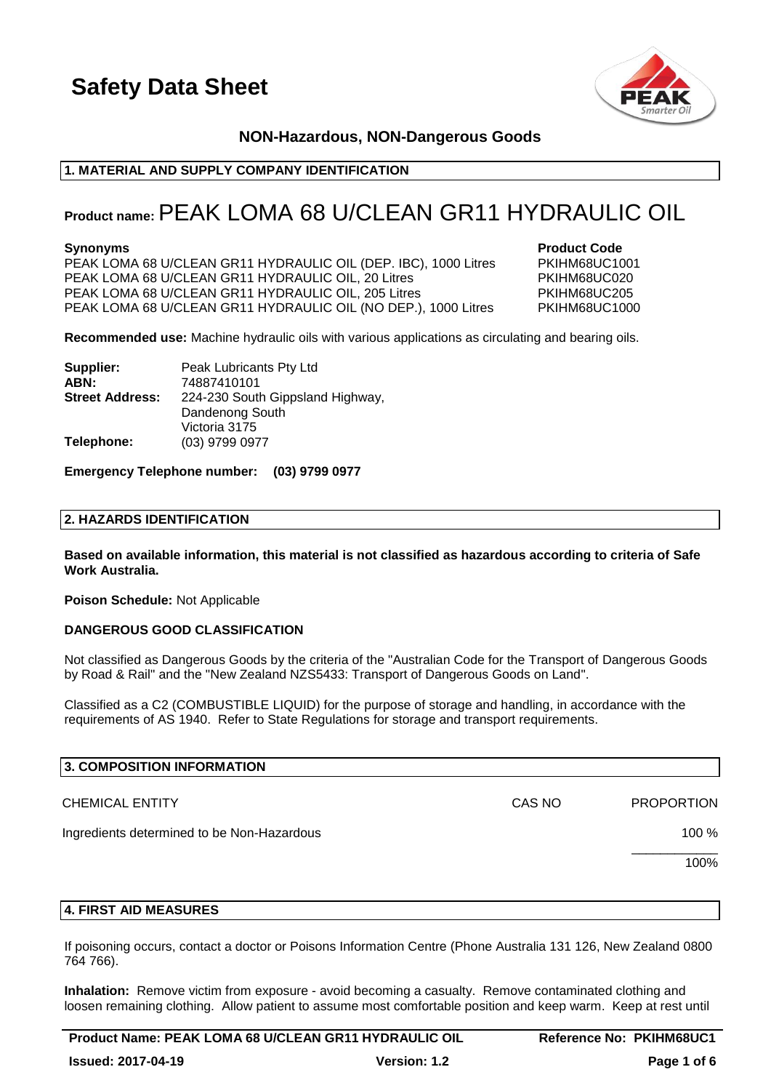

### **NON-Hazardous, NON-Dangerous Goods**

### **1. MATERIAL AND SUPPLY COMPANY IDENTIFICATION**

### **Product name:**PEAK LOMA 68 U/CLEAN GR11 HYDRAULIC OIL

**Synonyms**<br>**PEAK LOMA 68 U/CLEAN GR11 HYDRAULIC OIL (DEP. IBC), 1000 Litres** PKIHM68UC1001 PEAK LOMA 68 U/CLEAN GR11 HYDRAULIC OIL (DEP. IBC), 1000 Litres PEAK LOMA 68 U/CLEAN GR11 HYDRAULIC OIL, 20 Litres PAINT PRIHM68UC020 PEAK LOMA 68 U/CLEAN GR11 HYDRAULIC OIL, 205 Litres PKIHM68UC205 PEAK LOMA 68 U/CLEAN GR11 HYDRAULIC OIL (NO DEP.), 1000 Litres PKIHM68UC1000

**Recommended use:** Machine hydraulic oils with various applications as circulating and bearing oils.

| Supplier:              | Peak Lubricants Pty Ltd          |
|------------------------|----------------------------------|
| ABN:                   | 74887410101                      |
| <b>Street Address:</b> | 224-230 South Gippsland Highway, |
|                        | Dandenong South                  |
|                        | Victoria 3175                    |
| Telephone:             | (03) 9799 0977                   |

#### **Emergency Telephone number: (03) 9799 0977**

### **2. HAZARDS IDENTIFICATION**

**Based on available information, this material is not classified as hazardous according to criteria of Safe Work Australia.**

**Poison Schedule:** Not Applicable

### **DANGEROUS GOOD CLASSIFICATION**

Not classified as Dangerous Goods by the criteria of the "Australian Code for the Transport of Dangerous Goods by Road & Rail" and the "New Zealand NZS5433: Transport of Dangerous Goods on Land".

Classified as a C2 (COMBUSTIBLE LIQUID) for the purpose of storage and handling, in accordance with the requirements of AS 1940. Refer to State Regulations for storage and transport requirements.

| 3. COMPOSITION INFORMATION                 |        |                   |
|--------------------------------------------|--------|-------------------|
| <b>CHEMICAL ENTITY</b>                     | CAS NO | <b>PROPORTION</b> |
| Ingredients determined to be Non-Hazardous |        | 100 %             |
|                                            |        | 100%              |
|                                            |        |                   |

### **4. FIRST AID MEASURES**

If poisoning occurs, contact a doctor or Poisons Information Centre (Phone Australia 131 126, New Zealand 0800 764 766).

**Inhalation:** Remove victim from exposure - avoid becoming a casualty. Remove contaminated clothing and loosen remaining clothing. Allow patient to assume most comfortable position and keep warm. Keep at rest until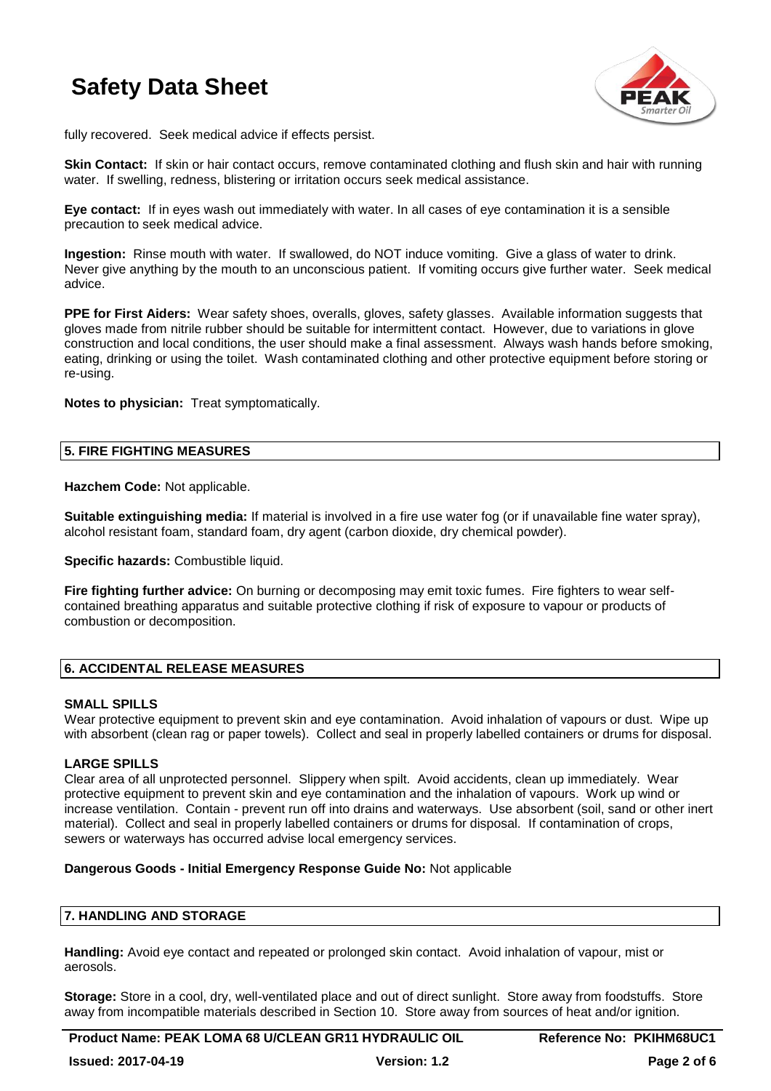

fully recovered. Seek medical advice if effects persist.

**Skin Contact:** If skin or hair contact occurs, remove contaminated clothing and flush skin and hair with running water. If swelling, redness, blistering or irritation occurs seek medical assistance.

**Eye contact:** If in eyes wash out immediately with water. In all cases of eye contamination it is a sensible precaution to seek medical advice.

**Ingestion:** Rinse mouth with water. If swallowed, do NOT induce vomiting. Give a glass of water to drink. Never give anything by the mouth to an unconscious patient. If vomiting occurs give further water. Seek medical advice.

**PPE for First Aiders:** Wear safety shoes, overalls, gloves, safety glasses. Available information suggests that gloves made from nitrile rubber should be suitable for intermittent contact. However, due to variations in glove construction and local conditions, the user should make a final assessment. Always wash hands before smoking, eating, drinking or using the toilet. Wash contaminated clothing and other protective equipment before storing or re-using.

**Notes to physician:** Treat symptomatically.

### **5. FIRE FIGHTING MEASURES**

**Hazchem Code:** Not applicable.

**Suitable extinguishing media:** If material is involved in a fire use water fog (or if unavailable fine water spray), alcohol resistant foam, standard foam, dry agent (carbon dioxide, dry chemical powder).

**Specific hazards:** Combustible liquid.

**Fire fighting further advice:** On burning or decomposing may emit toxic fumes. Fire fighters to wear selfcontained breathing apparatus and suitable protective clothing if risk of exposure to vapour or products of combustion or decomposition.

### **6. ACCIDENTAL RELEASE MEASURES**

#### **SMALL SPILLS**

Wear protective equipment to prevent skin and eye contamination. Avoid inhalation of vapours or dust. Wipe up with absorbent (clean rag or paper towels). Collect and seal in properly labelled containers or drums for disposal.

### **LARGE SPILLS**

Clear area of all unprotected personnel. Slippery when spilt. Avoid accidents, clean up immediately. Wear protective equipment to prevent skin and eye contamination and the inhalation of vapours. Work up wind or increase ventilation. Contain - prevent run off into drains and waterways. Use absorbent (soil, sand or other inert material). Collect and seal in properly labelled containers or drums for disposal. If contamination of crops, sewers or waterways has occurred advise local emergency services.

#### **Dangerous Goods - Initial Emergency Response Guide No:** Not applicable

### **7. HANDLING AND STORAGE**

**Handling:** Avoid eye contact and repeated or prolonged skin contact. Avoid inhalation of vapour, mist or aerosols.

**Storage:** Store in a cool, dry, well-ventilated place and out of direct sunlight. Store away from foodstuffs. Store away from incompatible materials described in Section 10. Store away from sources of heat and/or ignition.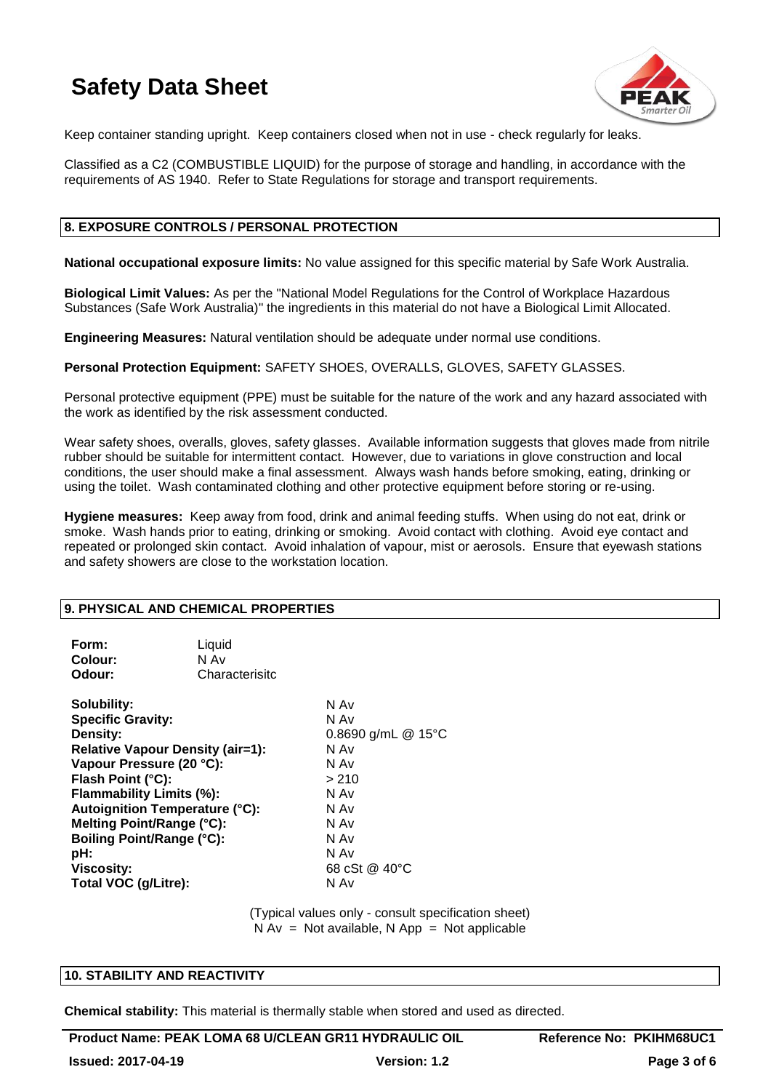

Keep container standing upright. Keep containers closed when not in use - check regularly for leaks.

Classified as a C2 (COMBUSTIBLE LIQUID) for the purpose of storage and handling, in accordance with the requirements of AS 1940. Refer to State Regulations for storage and transport requirements.

### **8. EXPOSURE CONTROLS / PERSONAL PROTECTION**

**National occupational exposure limits:** No value assigned for this specific material by Safe Work Australia.

**Biological Limit Values:** As per the "National Model Regulations for the Control of Workplace Hazardous Substances (Safe Work Australia)" the ingredients in this material do not have a Biological Limit Allocated.

**Engineering Measures:** Natural ventilation should be adequate under normal use conditions.

**Personal Protection Equipment:** SAFETY SHOES, OVERALLS, GLOVES, SAFETY GLASSES.

Personal protective equipment (PPE) must be suitable for the nature of the work and any hazard associated with the work as identified by the risk assessment conducted.

Wear safety shoes, overalls, gloves, safety glasses. Available information suggests that gloves made from nitrile rubber should be suitable for intermittent contact. However, due to variations in glove construction and local conditions, the user should make a final assessment. Always wash hands before smoking, eating, drinking or using the toilet. Wash contaminated clothing and other protective equipment before storing or re-using.

**Hygiene measures:** Keep away from food, drink and animal feeding stuffs. When using do not eat, drink or smoke. Wash hands prior to eating, drinking or smoking. Avoid contact with clothing. Avoid eye contact and repeated or prolonged skin contact. Avoid inhalation of vapour, mist or aerosols. Ensure that eyewash stations and safety showers are close to the workstation location.

### **9. PHYSICAL AND CHEMICAL PROPERTIES**

| Form:<br>Colour:<br>Odour:                                                                                                                                                                                                                                                                                                                | Liquid<br>N Av<br>Characterisitc |                                                                                                                                |
|-------------------------------------------------------------------------------------------------------------------------------------------------------------------------------------------------------------------------------------------------------------------------------------------------------------------------------------------|----------------------------------|--------------------------------------------------------------------------------------------------------------------------------|
| Solubility:<br><b>Specific Gravity:</b><br>Density:<br><b>Relative Vapour Density (air=1):</b><br>Vapour Pressure (20 °C):<br>Flash Point (°C):<br>Flammability Limits (%):<br><b>Autoignition Temperature (°C):</b><br>Melting Point/Range (°C):<br><b>Boiling Point/Range (°C):</b><br>pH:<br><b>Viscosity:</b><br>Total VOC (g/Litre): |                                  | N Av<br>N Av<br>0.8690 g/mL $@$ 15°C<br>N Av<br>N Av<br>> 210<br>N Av<br>N Av<br>N Av<br>N Av<br>N Av<br>68 cSt @ 40°C<br>N Av |

(Typical values only - consult specification sheet)  $N Av = Not available, N App = Not applicable$ 

### **10. STABILITY AND REACTIVITY**

**Chemical stability:** This material is thermally stable when stored and used as directed.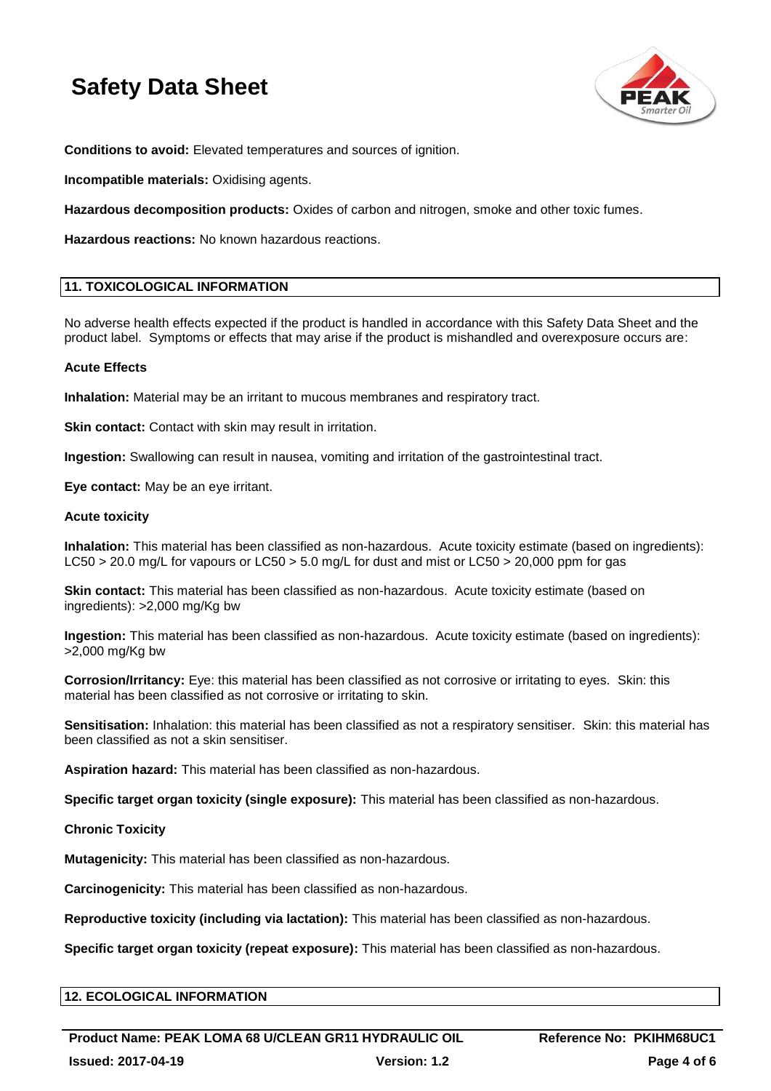

**Conditions to avoid:** Elevated temperatures and sources of ignition.

**Incompatible materials:** Oxidising agents.

**Hazardous decomposition products:** Oxides of carbon and nitrogen, smoke and other toxic fumes.

**Hazardous reactions:** No known hazardous reactions.

### **11. TOXICOLOGICAL INFORMATION**

No adverse health effects expected if the product is handled in accordance with this Safety Data Sheet and the product label. Symptoms or effects that may arise if the product is mishandled and overexposure occurs are:

### **Acute Effects**

**Inhalation:** Material may be an irritant to mucous membranes and respiratory tract.

**Skin contact:** Contact with skin may result in irritation.

**Ingestion:** Swallowing can result in nausea, vomiting and irritation of the gastrointestinal tract.

**Eye contact:** May be an eye irritant.

### **Acute toxicity**

**Inhalation:** This material has been classified as non-hazardous. Acute toxicity estimate (based on ingredients): LC50 > 20.0 mg/L for vapours or LC50 > 5.0 mg/L for dust and mist or LC50 > 20,000 ppm for gas

**Skin contact:** This material has been classified as non-hazardous. Acute toxicity estimate (based on ingredients): >2,000 mg/Kg bw

**Ingestion:** This material has been classified as non-hazardous. Acute toxicity estimate (based on ingredients): >2,000 mg/Kg bw

**Corrosion/Irritancy:** Eye: this material has been classified as not corrosive or irritating to eyes. Skin: this material has been classified as not corrosive or irritating to skin.

**Sensitisation:** Inhalation: this material has been classified as not a respiratory sensitiser. Skin: this material has been classified as not a skin sensitiser.

**Aspiration hazard:** This material has been classified as non-hazardous.

**Specific target organ toxicity (single exposure):** This material has been classified as non-hazardous.

### **Chronic Toxicity**

**Mutagenicity:** This material has been classified as non-hazardous.

**Carcinogenicity:** This material has been classified as non-hazardous.

**Reproductive toxicity (including via lactation):** This material has been classified as non-hazardous.

**Specific target organ toxicity (repeat exposure):** This material has been classified as non-hazardous.

### **12. ECOLOGICAL INFORMATION**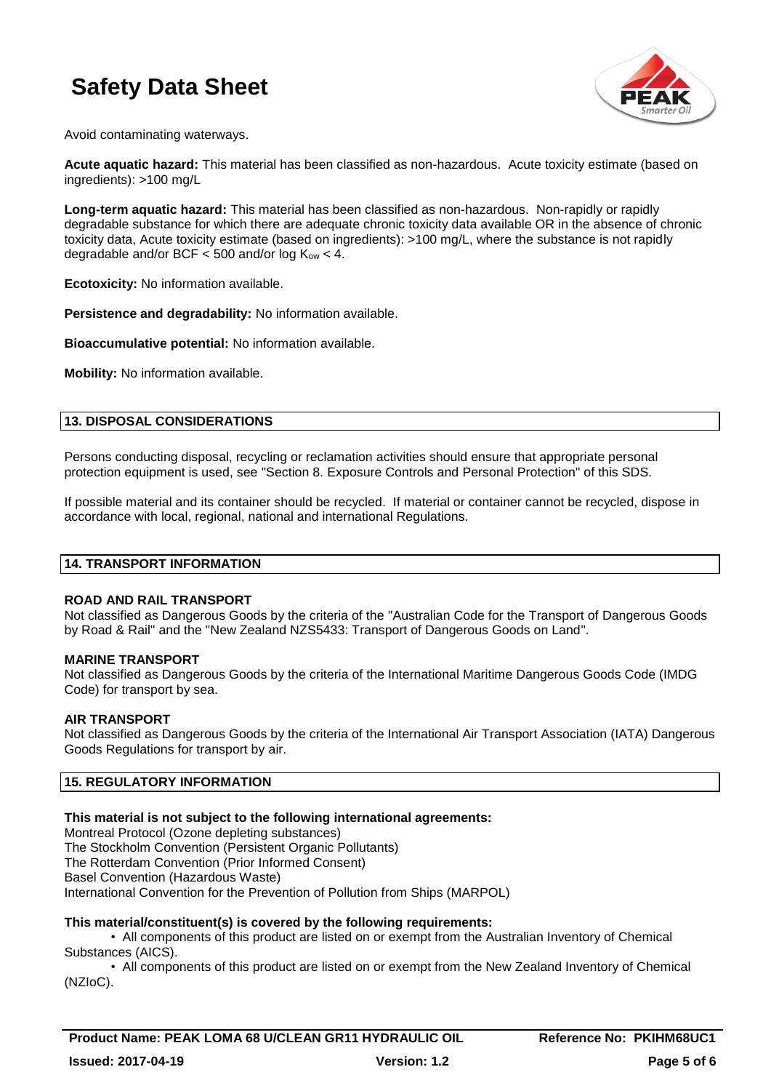

Avoid contaminating waterways.

**Acute aquatic hazard:** This material has been classified as non-hazardous. Acute toxicity estimate (based on ingredients): >100 mg/L

**Long-term aquatic hazard:** This material has been classified as non-hazardous. Non-rapidly or rapidly degradable substance for which there are adequate chronic toxicity data available OR in the absence of chronic toxicity data, Acute toxicity estimate (based on ingredients): >100 mg/L, where the substance is not rapidly degradable and/or BCF  $<$  500 and/or log  $K_{ow}$   $<$  4.

**Ecotoxicity:** No information available.

**Persistence and degradability:** No information available.

**Bioaccumulative potential:** No information available.

**Mobility:** No information available.

### **13. DISPOSAL CONSIDERATIONS**

Persons conducting disposal, recycling or reclamation activities should ensure that appropriate personal protection equipment is used, see "Section 8. Exposure Controls and Personal Protection" of this SDS.

If possible material and its container should be recycled. If material or container cannot be recycled, dispose in accordance with local, regional, national and international Regulations.

#### **14. TRANSPORT INFORMATION**

#### **ROAD AND RAIL TRANSPORT**

Not classified as Dangerous Goods by the criteria of the "Australian Code for the Transport of Dangerous Goods by Road & Rail" and the "New Zealand NZS5433: Transport of Dangerous Goods on Land".

### **MARINE TRANSPORT**

Not classified as Dangerous Goods by the criteria of the International Maritime Dangerous Goods Code (IMDG Code) for transport by sea.

### **AIR TRANSPORT**

Not classified as Dangerous Goods by the criteria of the International Air Transport Association (IATA) Dangerous Goods Regulations for transport by air.

### **15. REGULATORY INFORMATION**

### **This material is not subject to the following international agreements:**

Montreal Protocol (Ozone depleting substances) The Stockholm Convention (Persistent Organic Pollutants) The Rotterdam Convention (Prior Informed Consent) Basel Convention (Hazardous Waste) International Convention for the Prevention of Pollution from Ships (MARPOL)

### **This material/constituent(s) is covered by the following requirements:**

• All components of this product are listed on or exempt from the Australian Inventory of Chemical Substances (AICS).

• All components of this product are listed on or exempt from the New Zealand Inventory of Chemical (NZIoC).